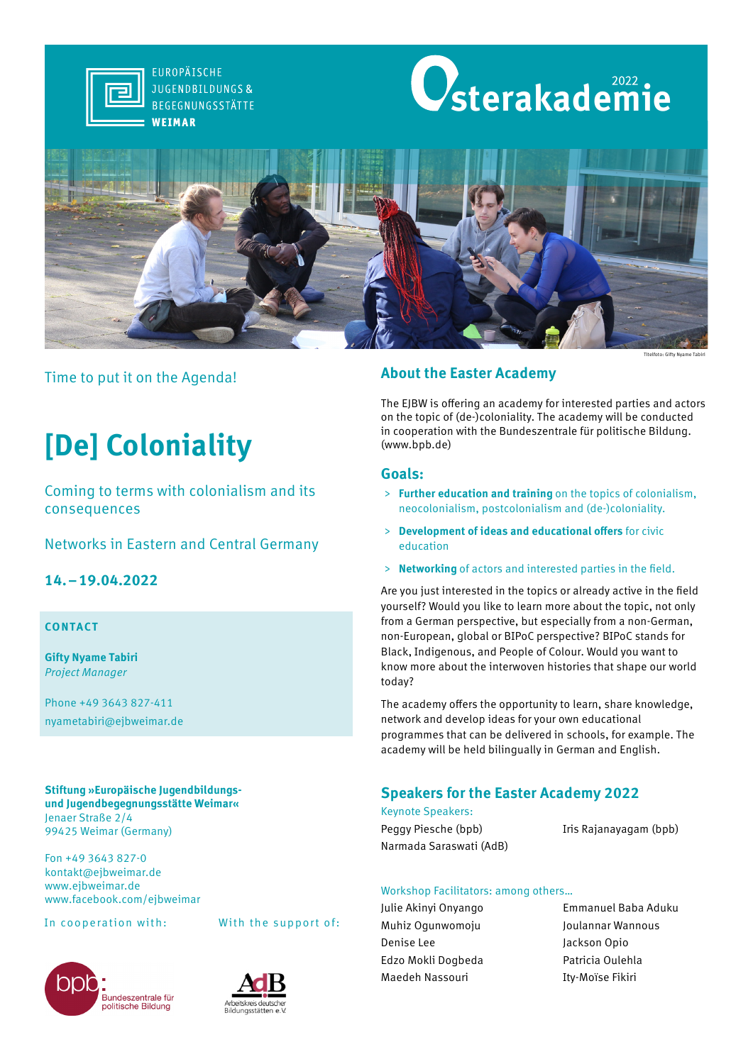

**FUROPÄISCHE JUGENDBILDUNGS&** BEGEGNUNGSSTÄTTE WEIMAR





# Time to put it on the Agenda!

# **[De] Coloniality**

Coming to terms with colonialism and its consequences

# Networks in Eastern and Central Germany

# **14.–19.04.2022**

## **CONTACT**

**Gifty Nyame Tabiri** *Project Manager*

Phone +49 3643 827-411 nyametabiri@ejbweimar.de

#### **Stiftung »Europäische Jugendbildungsund Jugendbegegnungsstätte Weimar«** Jenaer Straße 2/4 99425 Weimar (Germany)

Fon +49 3643 827-0 kontakt@ejbweimar.de www.ejbweimar.de www.facebook.com/ejbweimar







# **About the Easter Academy**

The EJBW is offering an academy for interested parties and actors on the topic of (de-)coloniality. The academy will be conducted in cooperation with the Bundeszentrale für politische Bildung. (www.bpb.de)

## **Goals:**

- > **Further education and training** on the topics of colonialism, neocolonialism, postcolonialism and (de-)coloniality.
- > **Development of ideas and educational offers** for civic education
- > **Networking** of actors and interested parties in the field.

Are you just interested in the topics or already active in the field yourself? Would you like to learn more about the topic, not only from a German perspective, but especially from a non-German, non-European, global or BIPoC perspective? BIPoC stands for Black, Indigenous, and People of Colour. Would you want to know more about the interwoven histories that shape our world today?

The academy offers the opportunity to learn, share knowledge, network and develop ideas for your own educational programmes that can be delivered in schools, for example. The academy will be held bilingually in German and English.

# **Speakers for the Easter Academy 2022**

Keynote Speakers: Peggy Piesche (bpb) Iris Rajanayagam (bpb) Narmada Saraswati (AdB)

## Workshop Facilitators: among others…

- Muhiz Ogunwomoju Joulannar Wannous Denise Lee Jackson Opio Edzo Mokli Dogbeda Patricia Oulehla Maedeh Nassouri **Ity-Moïse Fikiri**
- Julie Akinyi Onyango Emmanuel Baba Aduku